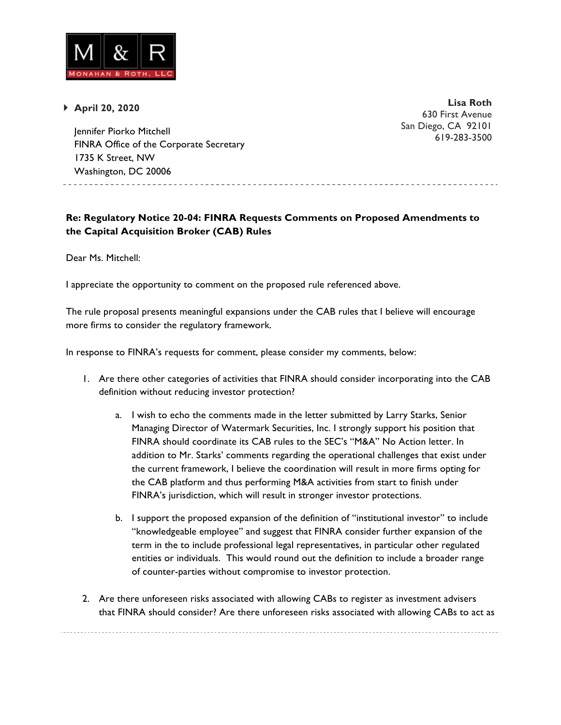

} **April 20, 2020**

**Lisa Roth** 630 First Avenue San Diego, CA 92101 619-283-3500

Jennifer Piorko Mitchell FINRA Office of the Corporate Secretary 1735 K Street, NW Washington, DC 20006

**Re: Regulatory Notice 20-04: FINRA Requests Comments on Proposed Amendments to the Capital Acquisition Broker (CAB) Rules**

Dear Ms. Mitchell:

I appreciate the opportunity to comment on the proposed rule referenced above.

The rule proposal presents meaningful expansions under the CAB rules that I believe will encourage more firms to consider the regulatory framework.

In response to FINRA's requests for comment, please consider my comments, below:

- 1. Are there other categories of activities that FINRA should consider incorporating into the CAB definition without reducing investor protection?
	- a. I wish to echo the comments made in the letter submitted by Larry Starks, Senior Managing Director of Watermark Securities, Inc. I strongly support his position that FINRA should coordinate its CAB rules to the SEC's "M&A" No Action letter. In addition to Mr. Starks' comments regarding the operational challenges that exist under the current framework, I believe the coordination will result in more firms opting for the CAB platform and thus performing M&A activities from start to finish under FINRA's jurisdiction, which will result in stronger investor protections.
	- b. I support the proposed expansion of the definition of "institutional investor" to include "knowledgeable employee" and suggest that FINRA consider further expansion of the term in the to include professional legal representatives, in particular other regulated entities or individuals. This would round out the definition to include a broader range of counter-parties without compromise to investor protection.
- 2. Are there unforeseen risks associated with allowing CABs to register as investment advisers that FINRA should consider? Are there unforeseen risks associated with allowing CABs to act as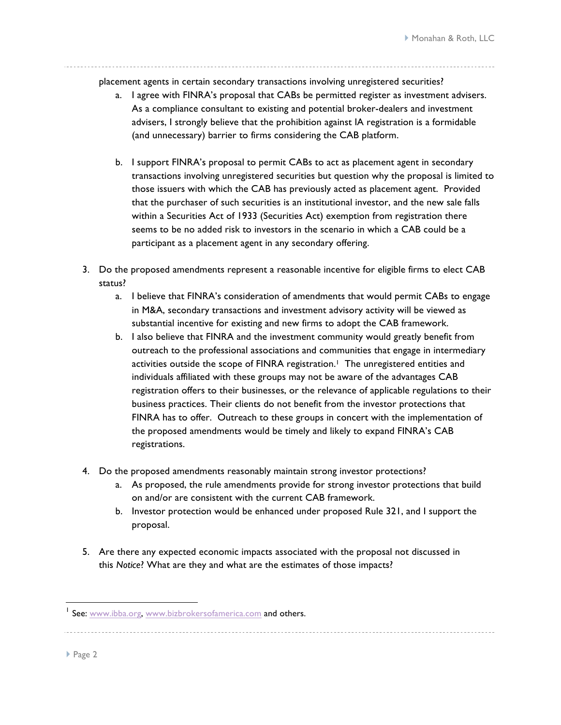placement agents in certain secondary transactions involving unregistered securities?

- a. I agree with FINRA's proposal that CABs be permitted register as investment advisers. As a compliance consultant to existing and potential broker-dealers and investment advisers, I strongly believe that the prohibition against IA registration is a formidable (and unnecessary) barrier to firms considering the CAB platform.
- b. I support FINRA's proposal to permit CABs to act as placement agent in secondary transactions involving unregistered securities but question why the proposal is limited to those issuers with which the CAB has previously acted as placement agent. Provided that the purchaser of such securities is an institutional investor, and the new sale falls within a Securities Act of 1933 (Securities Act) exemption from registration there seems to be no added risk to investors in the scenario in which a CAB could be a participant as a placement agent in any secondary offering.
- 3. Do the proposed amendments represent a reasonable incentive for eligible firms to elect CAB status?
	- a. I believe that FINRA's consideration of amendments that would permit CABs to engage in M&A, secondary transactions and investment advisory activity will be viewed as substantial incentive for existing and new firms to adopt the CAB framework.
	- b. I also believe that FINRA and the investment community would greatly benefit from outreach to the professional associations and communities that engage in intermediary activities outside the scope of FINRA registration.<sup>1</sup> The unregistered entities and individuals affiliated with these groups may not be aware of the advantages CAB registration offers to their businesses, or the relevance of applicable regulations to their business practices. Their clients do not benefit from the investor protections that FINRA has to offer. Outreach to these groups in concert with the implementation of the proposed amendments would be timely and likely to expand FINRA's CAB registrations.
- 4. Do the proposed amendments reasonably maintain strong investor protections?
	- a. As proposed, the rule amendments provide for strong investor protections that build on and/or are consistent with the current CAB framework.
	- b. Investor protection would be enhanced under proposed Rule 321, and I support the proposal.
- 5. Are there any expected economic impacts associated with the proposal not discussed in this *Notice*? What are they and what are the estimates of those impacts?

▶ Page 2

<sup>&</sup>lt;sup>1</sup> See: www.ibba.org, www.bizbrokersofamerica.com and others.